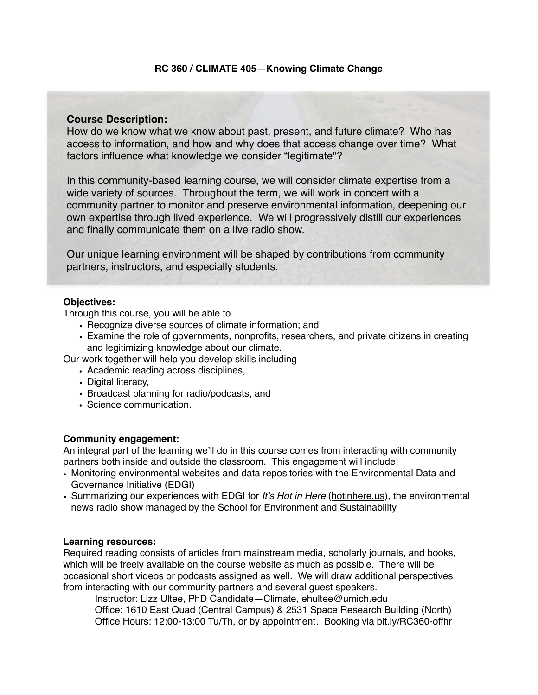# **Course Description:**

How do we know what we know about past, present, and future climate? Who has access to information, and how and why does that access change over time? What factors influence what knowledge we consider "legitimate"?

In this community-based learning course, we will consider climate expertise from a wide variety of sources. Throughout the term, we will work in concert with a community partner to monitor and preserve environmental information, deepening our own expertise through lived experience. We will progressively distill our experiences and finally communicate them on a live radio show.

Our unique learning environment will be shaped by contributions from community partners, instructors, and especially students.

# **Objectives:**

Through this course, you will be able to

- Recognize diverse sources of climate information; and
- Examine the role of governments, nonprofits, researchers, and private citizens in creating and legitimizing knowledge about our climate.
- Our work together will help you develop skills including
	- Academic reading across disciplines,
	- Digital literacy,
	- Broadcast planning for radio/podcasts, and
	- Science communication.

# **Community engagement:**

An integral part of the learning we'll do in this course comes from interacting with community partners both inside and outside the classroom. This engagement will include:

- Monitoring environmental websites and data repositories with the Environmental Data and Governance Initiative (EDGI)
- Summarizing our experiences with EDGI for *It's Hot in Here* [\(hotinhere.us\)](http://hotinhere.us), the environmental news radio show managed by the School for Environment and Sustainability

#### **Learning resources:**

Required reading consists of articles from mainstream media, scholarly journals, and books, which will be freely available on the course website as much as possible. There will be occasional short videos or podcasts assigned as well. We will draw additional perspectives from interacting with our community partners and several guest speakers.

Instructor: Lizz Ultee, PhD Candidate—Climate, [ehultee@umich.edu](mailto:ehultee@umich.edu)

Office: 1610 East Quad (Central Campus) & 2531 Space Research Building (North) Office Hours: 12:00-13:00 Tu/Th, or by appointment. Booking via [bit.ly/RC360-offhr](http://bit.ly/RC360-offhr)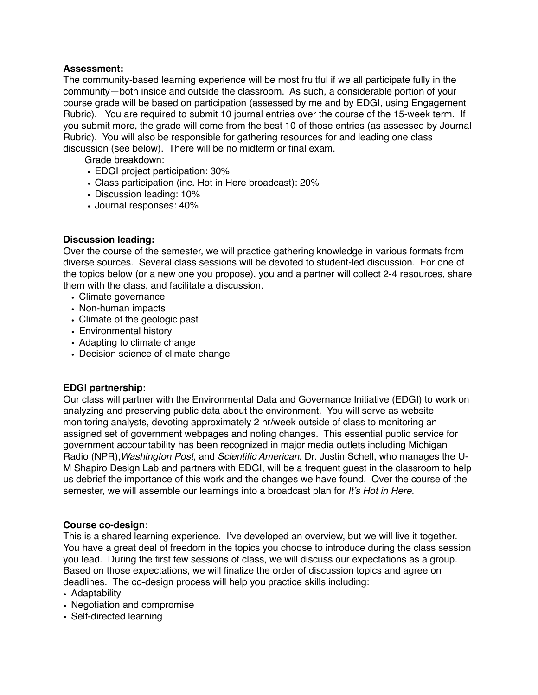# **Assessment:**

The community-based learning experience will be most fruitful if we all participate fully in the community—both inside and outside the classroom. As such, a considerable portion of your course grade will be based on participation (assessed by me and by EDGI, using Engagement Rubric). You are required to submit 10 journal entries over the course of the 15-week term. If you submit more, the grade will come from the best 10 of those entries (as assessed by Journal Rubric). You will also be responsible for gathering resources for and leading one class discussion (see below). There will be no midterm or final exam.

Grade breakdown:

- EDGI project participation: 30%
- Class participation (inc. Hot in Here broadcast): 20%
- Discussion leading: 10%
- Journal responses: 40%

# **Discussion leading:**

Over the course of the semester, we will practice gathering knowledge in various formats from diverse sources. Several class sessions will be devoted to student-led discussion. For one of the topics below (or a new one you propose), you and a partner will collect 2-4 resources, share them with the class, and facilitate a discussion.

- Climate governance
- Non-human impacts
- Climate of the geologic past
- Environmental history
- Adapting to climate change
- Decision science of climate change

# **EDGI partnership:**

Our class will partner with the [Environmental Data and Governance Initiative](https://envirodatagov.org/) (EDGI) to work on analyzing and preserving public data about the environment. You will serve as website monitoring analysts, devoting approximately 2 hr/week outside of class to monitoring an assigned set of government webpages and noting changes. This essential public service for government accountability has been recognized in major media outlets including Michigan Radio (NPR),*Washington Post*, and *Scientific American*. Dr. Justin Schell, who manages the U-M Shapiro Design Lab and partners with EDGI, will be a frequent guest in the classroom to help us debrief the importance of this work and the changes we have found. Over the course of the semester, we will assemble our learnings into a broadcast plan for *It's Hot in Here*.

# **Course co-design:**

This is a shared learning experience. I've developed an overview, but we will live it together. You have a great deal of freedom in the topics you choose to introduce during the class session you lead. During the first few sessions of class, we will discuss our expectations as a group. Based on those expectations, we will finalize the order of discussion topics and agree on deadlines. The co-design process will help you practice skills including:

- Adaptability
- Negotiation and compromise
- Self-directed learning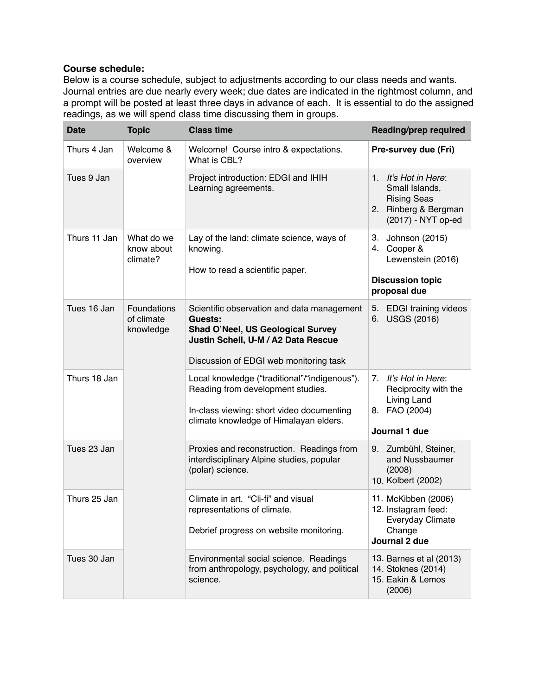# **Course schedule:**

Below is a course schedule, subject to adjustments according to our class needs and wants. Journal entries are due nearly every week; due dates are indicated in the rightmost column, and a prompt will be posted at least three days in advance of each. It is essential to do the assigned readings, as we will spend class time discussing them in groups.

| <b>Date</b>  | <b>Topic</b>                           | <b>Class time</b>                                                                                                                                                                  | Reading/prep required                                                                                      |
|--------------|----------------------------------------|------------------------------------------------------------------------------------------------------------------------------------------------------------------------------------|------------------------------------------------------------------------------------------------------------|
| Thurs 4 Jan  | Welcome &<br>overview                  | Welcome! Course intro & expectations.<br>What is CBL?                                                                                                                              | Pre-survey due (Fri)                                                                                       |
| Tues 9 Jan   |                                        | Project introduction: EDGI and IHIH<br>Learning agreements.                                                                                                                        | 1. It's Hot in Here:<br>Small Islands,<br><b>Rising Seas</b><br>2. Rinberg & Bergman<br>(2017) - NYT op-ed |
| Thurs 11 Jan | What do we<br>know about<br>climate?   | Lay of the land: climate science, ways of<br>knowing.<br>How to read a scientific paper.                                                                                           | 3. Johnson (2015)<br>4. Cooper &<br>Lewenstein (2016)<br><b>Discussion topic</b>                           |
|              |                                        |                                                                                                                                                                                    | proposal due                                                                                               |
| Tues 16 Jan  | Foundations<br>of climate<br>knowledge | Scientific observation and data management<br>Guests:<br><b>Shad O'Neel, US Geological Survey</b><br>Justin Schell, U-M / A2 Data Rescue<br>Discussion of EDGI web monitoring task | 5. EDGI training videos<br>6. USGS (2016)                                                                  |
|              |                                        |                                                                                                                                                                                    |                                                                                                            |
| Thurs 18 Jan |                                        | Local knowledge ("traditional"/"indigenous").<br>Reading from development studies.<br>In-class viewing: short video documenting<br>climate knowledge of Himalayan elders.          | It's Hot in Here:<br>7.<br>Reciprocity with the<br>Living Land<br>8. FAO (2004)<br>Journal 1 due           |
| Tues 23 Jan  |                                        | Proxies and reconstruction. Readings from<br>interdisciplinary Alpine studies, popular<br>(polar) science.                                                                         | 9. Zumbühl, Steiner,<br>and Nussbaumer<br>(2008)<br>10. Kolbert (2002)                                     |
| Thurs 25 Jan |                                        | Climate in art. "Cli-fi" and visual<br>representations of climate.<br>Debrief progress on website monitoring.                                                                      | 11. McKibben (2006)<br>12. Instagram feed:<br>Everyday Climate<br>Change<br>Journal 2 due                  |
| Tues 30 Jan  |                                        | Environmental social science. Readings<br>from anthropology, psychology, and political<br>science.                                                                                 | 13. Barnes et al (2013)<br>14. Stoknes (2014)<br>15. Eakin & Lemos<br>(2006)                               |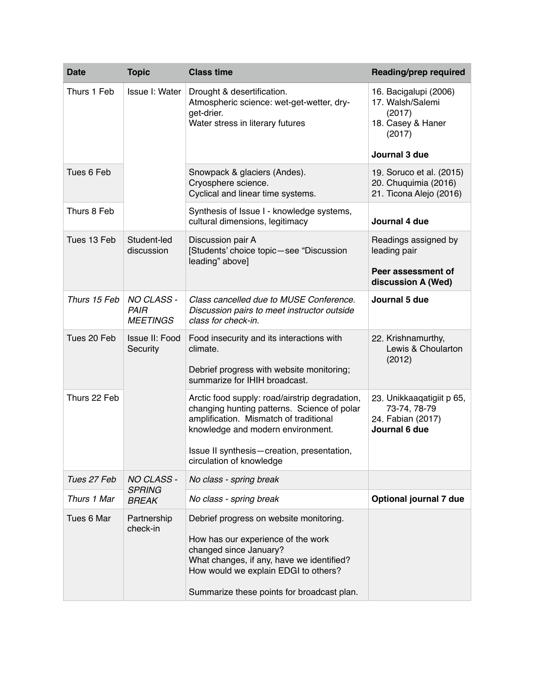| <b>Date</b>  | <b>Topic</b>                                        | <b>Class time</b>                                                                                                                                                                                                                                      | <b>Reading/prep required</b>                                                       |
|--------------|-----------------------------------------------------|--------------------------------------------------------------------------------------------------------------------------------------------------------------------------------------------------------------------------------------------------------|------------------------------------------------------------------------------------|
| Thurs 1 Feb  | Issue I: Water                                      | Drought & desertification.<br>Atmospheric science: wet-get-wetter, dry-<br>get-drier.<br>Water stress in literary futures                                                                                                                              | 16. Bacigalupi (2006)<br>17. Walsh/Salemi<br>(2017)<br>18. Casey & Haner<br>(2017) |
|              |                                                     |                                                                                                                                                                                                                                                        | Journal 3 due                                                                      |
| Tues 6 Feb   |                                                     | Snowpack & glaciers (Andes).<br>Cryosphere science.<br>Cyclical and linear time systems.                                                                                                                                                               | 19. Soruco et al. (2015)<br>20. Chuquimia (2016)<br>21. Ticona Alejo (2016)        |
| Thurs 8 Feb  |                                                     | Synthesis of Issue I - knowledge systems,<br>cultural dimensions, legitimacy                                                                                                                                                                           | Journal 4 due                                                                      |
| Tues 13 Feb  | Student-led<br>discussion                           | Discussion pair A<br>[Students' choice topic-see "Discussion<br>leading" above]                                                                                                                                                                        | Readings assigned by<br>leading pair                                               |
|              |                                                     |                                                                                                                                                                                                                                                        | Peer assessment of<br>discussion A (Wed)                                           |
| Thurs 15 Feb | <b>NO CLASS -</b><br><b>PAIR</b><br><b>MEETINGS</b> | Class cancelled due to MUSE Conference.<br>Discussion pairs to meet instructor outside<br>class for check-in.                                                                                                                                          | Journal 5 due                                                                      |
| Tues 20 Feb  | Issue II: Food<br>Security                          | Food insecurity and its interactions with<br>climate.<br>Debrief progress with website monitoring;<br>summarize for IHIH broadcast.                                                                                                                    | 22. Krishnamurthy,<br>Lewis & Choularton<br>(2012)                                 |
| Thurs 22 Feb |                                                     | Arctic food supply: road/airstrip degradation,<br>changing hunting patterns. Science of polar<br>amplification. Mismatch of traditional<br>knowledge and modern environment.<br>Issue II synthesis-creation, presentation,<br>circulation of knowledge | 23. Unikkaaqatigiit p 65,<br>73-74, 78-79<br>24. Fabian (2017)<br>Journal 6 due    |
| Tues 27 Feb  | NO CLASS -<br><b>SPRING</b>                         | No class - spring break                                                                                                                                                                                                                                |                                                                                    |
| Thurs 1 Mar  |                                                     | No class - spring break                                                                                                                                                                                                                                | Optional journal 7 due                                                             |
| Tues 6 Mar   | <b>BREAK</b><br>Partnership<br>check-in             | Debrief progress on website monitoring.<br>How has our experience of the work<br>changed since January?<br>What changes, if any, have we identified?<br>How would we explain EDGI to others?<br>Summarize these points for broadcast plan.             |                                                                                    |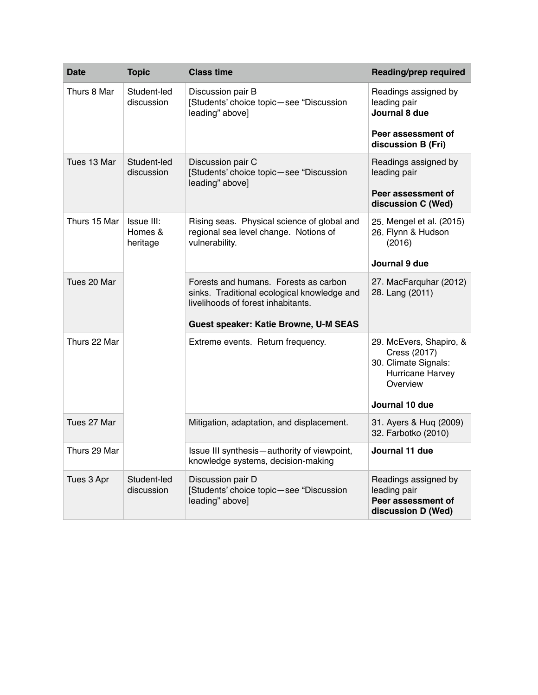| <b>Date</b>  | <b>Topic</b>                      | <b>Class time</b>                                                                                                          | <b>Reading/prep required</b>                                                                    |
|--------------|-----------------------------------|----------------------------------------------------------------------------------------------------------------------------|-------------------------------------------------------------------------------------------------|
| Thurs 8 Mar  | Student-led<br>discussion         | Discussion pair B<br>[Students' choice topic-see "Discussion<br>leading" above]                                            | Readings assigned by<br>leading pair<br>Journal 8 due                                           |
|              |                                   |                                                                                                                            | Peer assessment of<br>discussion B (Fri)                                                        |
| Tues 13 Mar  | Student-led<br>discussion         | Discussion pair C<br>[Students' choice topic-see "Discussion<br>leading" above]                                            | Readings assigned by<br>leading pair                                                            |
|              |                                   |                                                                                                                            | Peer assessment of<br>discussion C (Wed)                                                        |
| Thurs 15 Mar | Issue III:<br>Homes &<br>heritage | Rising seas. Physical science of global and<br>regional sea level change. Notions of<br>vulnerability.                     | 25. Mengel et al. (2015)<br>26. Flynn & Hudson<br>(2016)                                        |
|              |                                   |                                                                                                                            | Journal 9 due                                                                                   |
| Tues 20 Mar  |                                   | Forests and humans. Forests as carbon<br>sinks. Traditional ecological knowledge and<br>livelihoods of forest inhabitants. | 27. MacFarquhar (2012)<br>28. Lang (2011)                                                       |
|              |                                   | <b>Guest speaker: Katie Browne, U-M SEAS</b>                                                                               |                                                                                                 |
| Thurs 22 Mar |                                   | Extreme events. Return frequency.                                                                                          | 29. McEvers, Shapiro, &<br>Cress (2017)<br>30. Climate Signals:<br>Hurricane Harvey<br>Overview |
|              |                                   |                                                                                                                            | Journal 10 due                                                                                  |
| Tues 27 Mar  |                                   | Mitigation, adaptation, and displacement.                                                                                  | 31. Ayers & Huq (2009)<br>32. Farbotko (2010)                                                   |
| Thurs 29 Mar |                                   | Issue III synthesis-authority of viewpoint,<br>knowledge systems, decision-making                                          | Journal 11 due                                                                                  |
| Tues 3 Apr   | Student-led<br>discussion         | Discussion pair D<br>[Students' choice topic-see "Discussion<br>leading" above]                                            | Readings assigned by<br>leading pair<br>Peer assessment of<br>discussion D (Wed)                |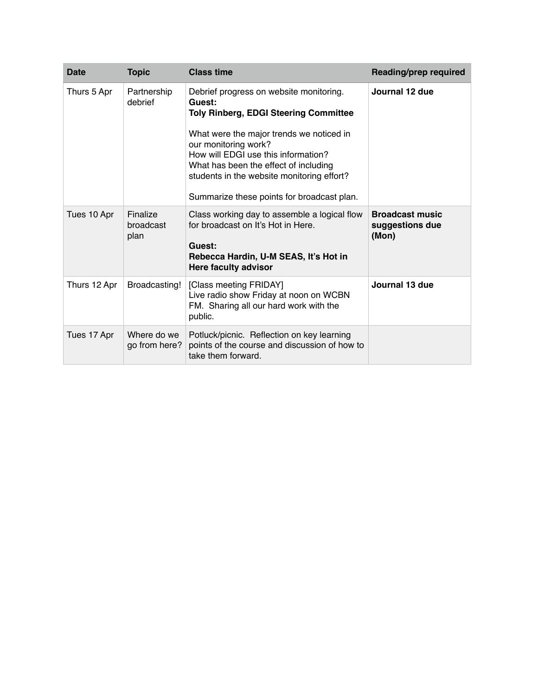| Date         | <b>Topic</b>                  | <b>Class time</b>                                                                                                                                                                                                                                                                                                                                 | Reading/prep required                              |
|--------------|-------------------------------|---------------------------------------------------------------------------------------------------------------------------------------------------------------------------------------------------------------------------------------------------------------------------------------------------------------------------------------------------|----------------------------------------------------|
| Thurs 5 Apr  | Partnership<br>debrief        | Debrief progress on website monitoring.<br>Guest:<br><b>Toly Rinberg, EDGI Steering Committee</b><br>What were the major trends we noticed in<br>our monitoring work?<br>How will EDGI use this information?<br>What has been the effect of including<br>students in the website monitoring effort?<br>Summarize these points for broadcast plan. | Journal 12 due                                     |
| Tues 10 Apr  | Finalize<br>broadcast<br>plan | Class working day to assemble a logical flow<br>for broadcast on It's Hot in Here.<br>Guest:<br>Rebecca Hardin, U-M SEAS, It's Hot in<br><b>Here faculty advisor</b>                                                                                                                                                                              | <b>Broadcast music</b><br>suggestions due<br>(Mon) |
| Thurs 12 Apr | Broadcasting!                 | [Class meeting FRIDAY]<br>Live radio show Friday at noon on WCBN<br>FM. Sharing all our hard work with the<br>public.                                                                                                                                                                                                                             | Journal 13 due                                     |
| Tues 17 Apr  | Where do we<br>go from here?  | Potluck/picnic. Reflection on key learning<br>points of the course and discussion of how to<br>take them forward.                                                                                                                                                                                                                                 |                                                    |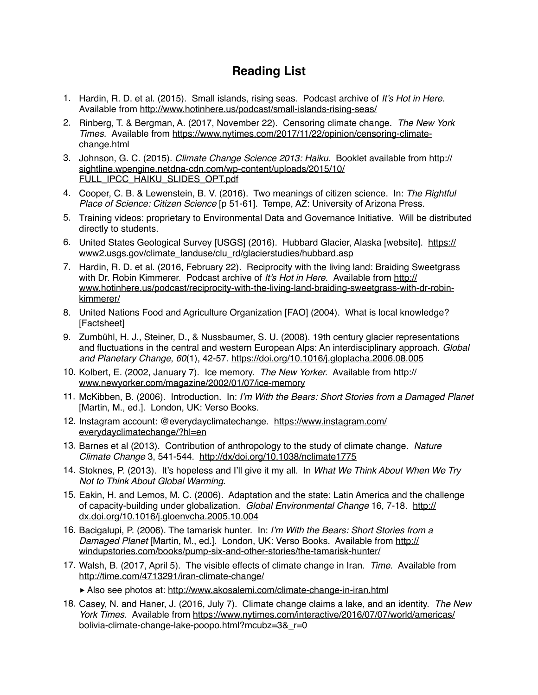# **Reading List**

- 1. Hardin, R. D. et al. (2015). Small islands, rising seas. Podcast archive of *It's Hot in Here.*  Available from<http://www.hotinhere.us/podcast/small-islands-rising-seas/>
- 2. Rinberg, T. & Bergman, A. (2017, November 22). Censoring climate change. *The New York Times.* [Available from https://www.nytimes.com/2017/11/22/opinion/censoring-climate](https://www.nytimes.com/2017/11/22/opinion/censoring-climate-change.html)change.html
- 3. Johnson, G. C. (2015). *Climate Change Science 2013: Haiku.* Booklet available from http:// [sightline.wpengine.netdna-cdn.com/wp-content/uploads/2015/10/](http://sightline.wpengine.netdna-cdn.com/wp-content/uploads/2015/10/FULL_IPCC_HAIKU_SLIDES_OPT.pdf) FULL\_IPCC\_HAIKU\_SLIDES\_OPT.pdf
- 4. Cooper, C. B. & Lewenstein, B. V. (2016). Two meanings of citizen science. In: *The Rightful Place of Science: Citizen Science* [p 51-61]. Tempe, AZ: University of Arizona Press.
- 5. Training videos: proprietary to Environmental Data and Governance Initiative. Will be distributed directly to students.
- 6. [United States Geological Survey \[USGS\] \(2016\). Hubbard Glacier, Alaska \[website\]. https://](https://www2.usgs.gov/climate_landuse/clu_rd/glacierstudies/hubbard.asp) www2.usgs.gov/climate\_landuse/clu\_rd/glacierstudies/hubbard.asp
- 7. Hardin, R. D. et al. (2016, February 22). Reciprocity with the living land: Braiding Sweetgrass with Dr. Robin Kimmerer. Podcast archive of *It's Hot in Here.* Available from http:// [www.hotinhere.us/podcast/reciprocity-with-the-living-land-braiding-sweetgrass-with-dr-robin](http://www.hotinhere.us/podcast/reciprocity-with-the-living-land-braiding-sweetgrass-with-dr-robin-kimmerer/)kimmerer/
- 8. United Nations Food and Agriculture Organization [FAO] (2004). What is local knowledge? [Factsheet]
- 9. Zumbühl, H. J., Steiner, D., & Nussbaumer, S. U. (2008). 19th century glacier representations and fluctuations in the central and western European Alps: An interdisciplinary approach. *Global and Planetary Change*, *60*(1), 42-57.<https://doi.org/10.1016/j.gloplacha.2006.08.005>
- 10. Kolbert, E. (2002, January 7). Ice memory. *The New Yorker.* Available from http:// [www.newyorker.com/magazine/2002/01/07/ice-memory](http://www.newyorker.com/magazine/2002/01/07/ice-memory)
- 11. McKibben, B. (2006). Introduction. In: *I'm With the Bears: Short Stories from a Damaged Planet*  [Martin, M., ed.]*.* London, UK: Verso Books.
- 12. [Instagram account: @everydayclimatechange. https://www.instagram.com/](https://www.instagram.com/everydayclimatechange/?hl=en) everydayclimatechange/?hl=en
- 13. Barnes et al (2013). Contribution of anthropology to the study of climate change. *Nature Climate Change* 3, 541-544. <http://dx/doi.org/10.1038/nclimate1775>
- 14. Stoknes, P. (2013). It's hopeless and I'll give it my all. In *What We Think About When We Try Not to Think About Global Warming*.
- 15. Eakin, H. and Lemos, M. C. (2006). Adaptation and the state: Latin America and the challenge of capacity-building under globalization. *Global Environmental Change* 16, 7-18. http:// [dx.doi.org/10.1016/j.gloenvcha.2005.10.004](http://dx.doi.org/10.1016/j.gloenvcha.2005.10.004)
- 16. Bacigalupi, P. (2006). The tamarisk hunter. In: *I'm With the Bears: Short Stories from a Damaged Planet* [Martin, M., ed.]. London, UK: Verso Books. Available from http:// [windupstories.com/books/pump-six-and-other-stories/the-tamarisk-hunter/](http://windupstories.com/books/pump-six-and-other-stories/the-tamarisk-hunter/)
- 17. Walsh, B. (2017, April 5). The visible effects of climate change in Iran. *Time.* Available from <http://time.com/4713291/iran-climate-change/>

‣Also see photos at:<http://www.akosalemi.com/climate-change-in-iran.html>

18. Casey, N. and Haner, J. (2016, July 7). Climate change claims a lake, and an identity. *The New York Times.* [Available from https://www.nytimes.com/interactive/2016/07/07/world/americas/](https://www.nytimes.com/interactive/2016/07/07/world/americas/bolivia-climate-change-lake-poopo.html?mcubz=3&_r=0) bolivia-climate-change-lake-poopo.html?mcubz=3&\_r=0